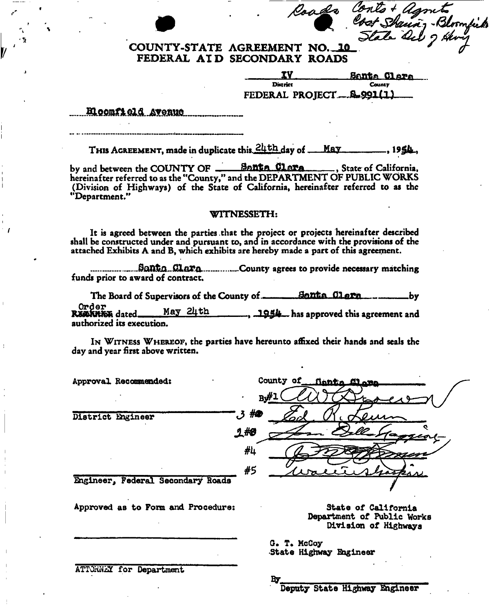## **COUNTY-STATE AGREEMENT NO. 10** Roads Conto + Agments<br>Cost Sharing - Bloomfield<br>State Ock 9 Hony **FEDERAL AI D SECONDARY ROADS**

|                             | Santa Clara   |
|-----------------------------|---------------|
| District                    | <b>County</b> |
| FEDERAL PROJECT  \$1,991(1) |               |

Eleonfield Avenue

THI S AGREEMENT, made in duplicate this^K^Lday of ILFLJ- .19

by and between the COUNTY OF Sfltttft OlATft , State of California, hereinafter referred to as the "County," and the DEPARTMENT OF PUBLIC WORKS (Division of Highways) of the State of California, hereinafter referred to as the "Department."

#### WITNESSETH:

It is agreed between the parties that the project or projects hereinafter described shall be constructed under and pursuant to, and in accordance with the provisions of the attached Exhibits A and B, which exhibits are hereby made a part of this agreement.

County agrees to provide necessary matching funds prior to award of contract.

The Board of Supervisors of the County of <u>flame Bontha Clern</u> electromagnety<br>Order<br>RESORTE dated May 24th 1954 has approved this agreement and  $\text{May } 24 \text{ th}$ ,  $\frac{1954}{1954}$  has approved this agreement and authorized its execution.

IN WITNESS WHEREOF, the parties have hereunto affixed their hands and seals the day and year first above written.

| Approval Recommended:              | County of finite dlame                            |
|------------------------------------|---------------------------------------------------|
|                                    | By#                                               |
| District Engineer                  | م# ق'                                             |
|                                    | 1#0                                               |
|                                    | #4                                                |
|                                    | #5                                                |
| Engineer, Federal Secondary Roads  |                                                   |
| Approved as to Form and Procedure: | State of California<br>Department of Public Works |

**By** 

Division of Highways

G. T. McCoy State Highway Engineer

ATTORNEY for Department

Deputy State Highway Engineer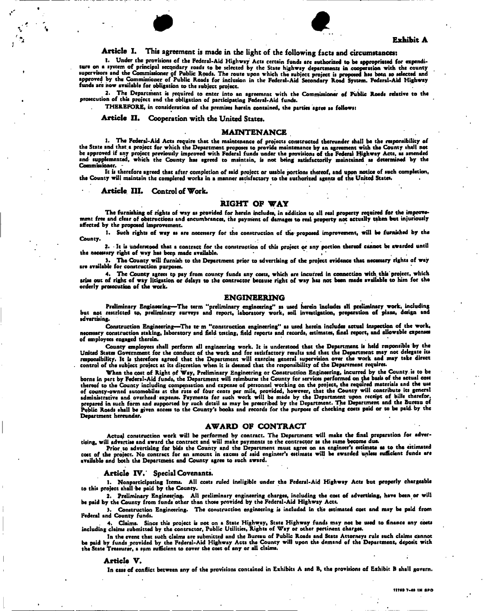



#### Article I. This agreement is made in the light of the following facts and circumstances:

I. Under the provisions of the Federal-Aid Highway Acts certain funds arc authorized to be appropriated for expenditure on a system of principal secondary roads to be selected by the State highway departments in cooperation with the county supervisors and the Commissioner of Public Roads. The route upon which the subject project is proposed has been so selected and<br>approved by the Commissioner of Public Roads for inclusion in the Federal-Aid Secondary Road S funds are how available for obligation to the subject project.

2. The Department is required to enter into an agreement with the Commissioner of Public Roads relative to the prosecution of this project and the obligation of participating Federal-Aid funds.

THEREFORE) in consideration of the premises herein contained, the parties agree as follows:

Article II. Cooperation with the United States.

#### MAINTENANCE .

1. The Federal-Aid Acts require that the maintenance of projects constructed thereunder shall be the responsibility of the State and that a project for which the Department proposes to provide maintenance by an agreement with the County shall not<br>be approved if any project previously improved with Federal funds under the provisions of the and supplemented, which the County has agreed to maintain, is not being satisfactorily maintained as determined by the Commissioner.

. It is therefore sgreed that after completion of said project or usable portions thereof, and upon notice of such completion,<br>• the County will maintain the completed works in a manner satisfactory to the authorized agent

#### Article III. Control of Work.

#### RIGHT OF WAY

The furnishing of rights of way as provided for herein includes, in addition to all real property required for the improvement free and dear of obstructions and encumbrances, the payment of damages to real property not actually taken but injuriously affected by the proposed improvement.

1. Such rights of way as are neccssary for the construction of tlie-proposed improvement, will be furnished by the County.

2. - It is understood that a contract for the construction of this project or any portion thereof cannot be awarded until the necessary right of way has been made available.

). The County will furnish to the Department prior to advertising of the project evidence that necessary rights of way are available for construction purposes.

The County agrees to pay from county funds any costs, which are incurred in connection with this project, which arise out of right of way litigation or delays to the contractor because right of way has not been made available to him for the orderly prosecution of the work.

#### ENGINEERING

Preliminary Engineering—The term "preliminary engineering" as used herein includes all preliminary work, including<br>but not restricted to, preliminary surveys and report, laboratory work, soil investigation, preparation of advertising.

Construction Engineering—The te m "construction engineering" as used herein includes actual inspection of the work.<br>necessary construction staking, laboratory and field testing, field reports and records, estimates, final of employees engaged therein.

County employees shall perform all engineering work. It is understood that the Department is held responsible by the United States Government for the conduct of the work and for satisfactory results arid that the Department may not delegate its responsibility. It is therefore agreed that the Department will exercise general supervision over the work and may take direct control of the subject project at its discretion when it is deemed that the responsibility of the Department requires.

When the cost of Right of Way, Preliminary Engineering or Construction Engineering, incurred by the County is to be borne in part by Federal-Aid funds, the Department will reimburse the County for services performed on jhe basis of the actual cost thereof to the County including compensation and expense of personnel working on the project, the required materials and the use of county-owned automobiles at the rate of four cents per mile, provided, however, that the County will contribute its general administrative and overhead expense. Payments for such work will be made by the Department upon receipt of bills therefor,<br>prepared in such form and supported by such detail as may be prescribed by the Department. The Depa Department hereunder.

#### AWARD OF CONTRACT

Actual construction work will be performed by contract. The Department will make the final preparation for advertising, will advertise and award the contract and will make payments to the contractor as the same become due.

Prior to advertising for bids the County and the Department must agree on an engineer's estimate as to the estimated coat of the project. No contract for an amount in excess of said engineer's estimate will be awarded unless sufficient funds are available and both the Department and County agree to sueh award.

#### Article IV.' Special Covenants.

1. Nonparticipating Items. All costs ruled ineligible under the Federal-Aid Highway Acts but properly chargeable to this projeet shall -be paid by the County.

2. Preliminary Engineering. All preliminary engineering charges, including the cost of advertising, have been or will be paid by the County from funds other than those provided by the Federal-Aid Highway Acts.

3. Construction Engineering. The construction engineering is included in the estimated cost and may be paid from Federal and County funds.

4. Claims. Since this project is not on a State Highway, State Highway funds may not be used to finance any costs including claims submitted by the contractor, Public Utilities, Rights of Way or other pertinent charges.

In the event that su6h claims are submitted and the Bureau of Public Roads and State Attorneys rule such claims cannot be paid by funds provided by the Federal-Aid Highway Acts the County will upon the demand of the Department, deposit with<br>the State Treasurer, a sum sufficient to cover the cost of any or all claims.

#### Article V.

In ease of conflict between any of the provisions contained in Exhibits A and B, the provisions of Exhibit B shall govern.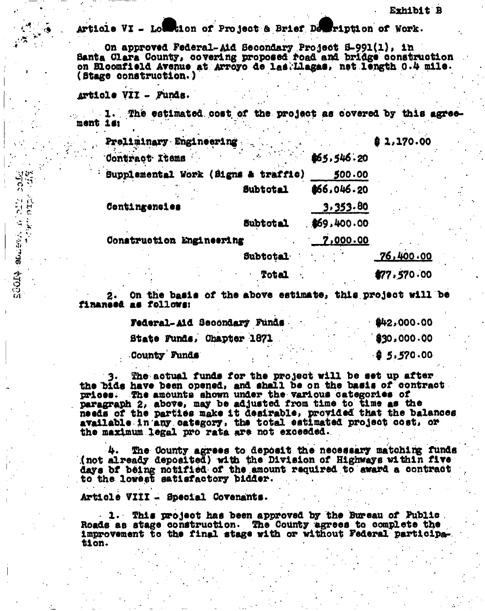Article VI - Louistion of Project & Brief Description of Work.

On approved Federal-Aid Secondary Project 5-991(1), in Banta Clara County, covering proposed road and bridge construction on Bloomfield Avenue at Arroyo de las. Llagas, net length 0.4 mile. (Stage construction.)

#### Article VII - Funds.

**He**  $\mathfrak{S}$ 

SOOTS SULFAIRS ATOLES

... I. The estimated cost of the project as covered by this agreement is:

| Preliminary Engineering  |                                     |             | 81,170.00   |
|--------------------------|-------------------------------------|-------------|-------------|
| Contract Items           |                                     | \$65,546.20 |             |
|                          | Supplemental Work (Signs & traffic) | 500.00      |             |
|                          | <b>Subtotal</b>                     | \$66,046.20 |             |
| Contingencies            |                                     | 3.353.80    |             |
|                          | <b>Subtotal</b>                     | .469.400.00 |             |
| Construction Engineering |                                     | 7,000.00    |             |
|                          | Subtotal                            |             | 76,400.00   |
|                          | <b>Total</b>                        |             | \$77,570.00 |

On the basis of the above estimate, this project will be  $2.$ finansed as follows:

| Federal-Aid Secondary Funds. |  |  | 442,000.00  |
|------------------------------|--|--|-------------|
| State Funds, Chapter 1871    |  |  | \$30,000.00 |
| County Funds                 |  |  | 95.570.00   |

The actual funds for the project will be set up after the bids have been opened, and shall be on the basis of contract prices. The amounts shown under the various categories of paragraph 2, above, may be adjusted from time to time as the needs of the parties make it desirable, provided that the balances available in any category, the total estimated project cost, or the maximum legal pro rata are not exceeded.

The County agrees to deposit the necessary matching funds (not already deposited) with the Division of Highways within five days of being notified of the amount required to award a contract to the lowest satisfactory bidder.

Article VIII - Special Covenants.

. 1. This project has been approved by the Bureau of Public. Roads as stage construction. The County agrees to complete the improvement to the final stage with or without Federal participation.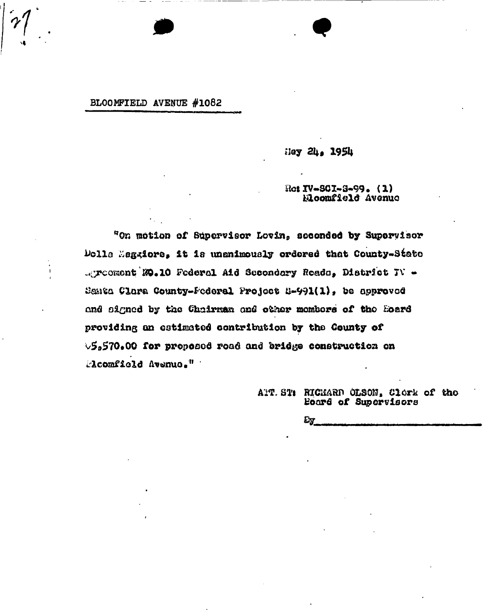#### BLOOMFIELD AVENUE #1082

Hey 24, 1954

Re:  $IV-SCI-3-99$ . (1) Elocafield Avenue

"On motion of Supervisor Lovin, seconded by Supervisor Dolls Mag-iore, it is unanimously ordered that County-State . Treoment M.10 Federal Aid Secondary Reads, District TV -Santa Clara County-Federal Project 8-991(1), be approved and signed by the Chairman and other members of the Hoard providing an estimated contribution by the County of  $\vee$ 5,570.00 for proposed road and bridge construction on Acomfield Avenue."

> ART. ST: RICHARD OLSON, Clork of the Board of Supervisors

> > Ey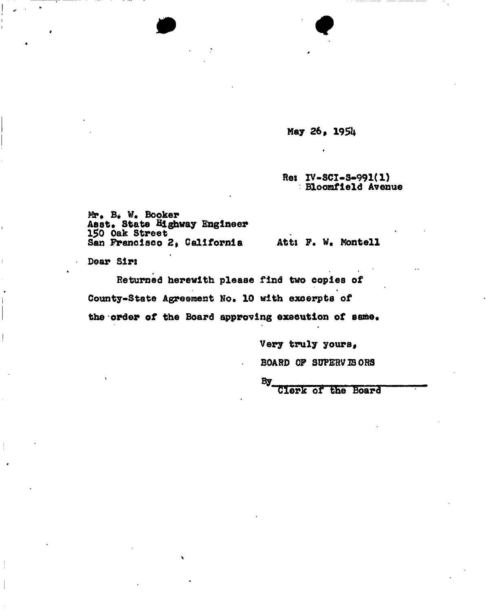Hay 26, 195U

\*

 $\bullet$ 

Re: IV-SCI-S-991(1) Bloomfield Avenue

Mr. B. W. Booker Aast. State Highway Engineer 150 Oak Street San Francisco 2, California Att: F. W. Montell<br>Dear Sir:

Returned herewith pleaae find two copies of County-State Agreement No. 10 with excerpts of the order of the Board approving execution of same.

Very truly yours,

BOARD OF SUPERVISORS

By\_

Clerk of the Board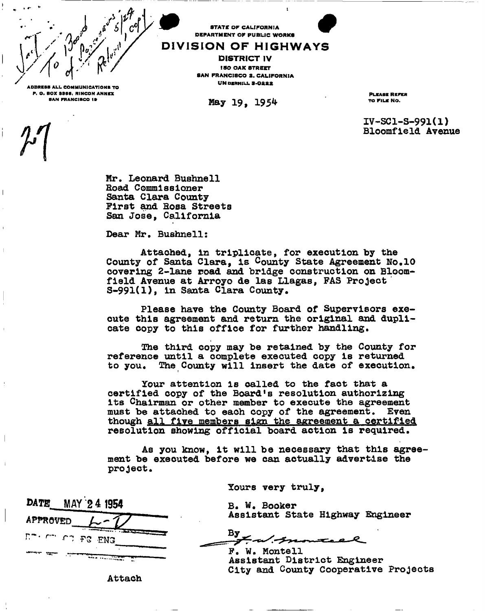

 $\mu$  |

TE OF CALIFORNIA DEPARTMENT OF PUBLIC WORKS

DISTRICT IV ISO OAK STREET  $\begin{bmatrix} 1 & C \end{bmatrix}$   $\begin{bmatrix} 1 & 0 \end{bmatrix}$   $\begin{bmatrix} 0 & 1 \end{bmatrix}$   $\begin{bmatrix} 0 & 1 \end{bmatrix}$   $\begin{bmatrix} 0 & 0 \end{bmatrix}$   $\begin{bmatrix} 0 & 0 \end{bmatrix}$   $\begin{bmatrix} 0 & 0 \end{bmatrix}$   $\begin{bmatrix} 0 & 0 \end{bmatrix}$   $\begin{bmatrix} 0 & 0 \end{bmatrix}$   $\begin{bmatrix} 0 & 0 \end{bmatrix}$   $\begin{bmatrix} 0 & 0 \end{bmatrix}$   $\$ 

 $S$ AN FRANCISCO IB May  $19.195<sup>4</sup>$ 

ADDRESS ALL COMMUNICATIONS TO J». O. BOX S3SS, REPRESS ALL COMMUNICATIONS TO J». O. BOX S3SS, RINCON ANNEX PLEASE REPRESS REPRESS REPRESS REPRESS REPRESS REPRESS REPRESS REPRESS REPRESS REPRESS REPRESS REPRESS REPRESS REPR PLEASE REFER<br>TO FILE NO.

*0* 

IV-SC1-S-991(1) Bloomfield Avenue

Mr. Leonard Bushnell Boad Commissioner Santa Clara County-First and Bosa Streets San Jose, California

Dear Mr. Bushnell:

Attached, in triplicate, for execution by the County of Santa Clara, is County State Agreement No.10 covering 2-lane road and bridge construction on Bloomfield Avenue at Arroyo de las Llagas, FAS Project S-991(1), in Santa Clara County.

Please have the County Board of Supervisors exeoute this agreement and return the original and duplicate copy to this office for further handling.

The third copy may be retained by the County for reference until a complete executed copy is returned to you. The County will insert the date of execution.

Your attention is called to the fact that a certified copy of the Board's resolution authorizing its Chairman or other member to execute the agreement must be attached to each copy of the agreement. Even though all five members sign the agreement a certified resolution showing official board action is required.

As you know, it will be necessary that this agreement be executed before we can actually advertise the project.

Yours very truly,

| <b>DATE</b>    | MAY 24 1954 |
|----------------|-------------|
| APPROVED       |             |
| Emerged FC ENG |             |
|                |             |

B. W. Booker Assistant State Highway Engineer

By

F. W. Monte11 Assistant District Engineer City and County Cooperative Projects

Attach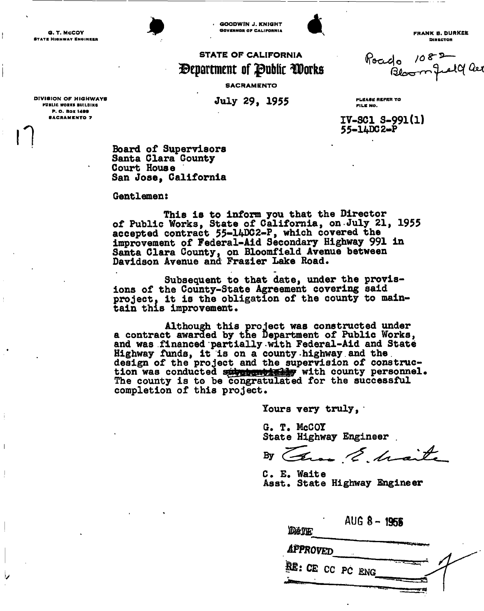G. T. MCCOY - JURKEE - JURKEE - JURKEE - JOURNAL GOVERNOA OF CALIFORNIA CALIFORNIA B. OURKEE - FRANK B. DURKEE<br>BTATE HIGHWAY ENGINEER - DIRECTOR



**GOODWIN J. KNIGHT**<br>GOVERNOR OF CALIFORNIA



### STATE OF CALIFORNIA (Poccolo 108 P<br>Second faithfull for **Public Public forms** (Second fail)  $\mathbf{\mathcal{D}}$ epartment of  $\mathbf{\mathcal{P}}$ ublic  $\mathbf{\mathcal{D}}$ orks

SACRAMENTO

**IV-SC1 s-991(l)**  55-14DC2-P

**July 29, 1955** DIVISION OF HIGHWAYS Jiil w O Q 1QC <sup>C</sup> PLEA8 H RKPK R T <sup>O</sup> PUBLIC WORKS BUILDING P. O. BOX 1499 **SACRAMENTO 7**  $\bigcap$ 

 $\mathbf{I}$ 

**Board of Supervisors Santa Clara Gounty Court House San Jose, California** 

**Gentlemen:** 

**This is to inform you that the Director of Public Works, State of California, on.July 21, 1955 accepted contract 55-1WDC2-P, which covered the improvement of Federal-Aid Secondary Highway 991 in Santa Clara County, on Bloomfield Avenue between Davidson Avenue and Frazier lake Road.** 

**Subsequent to that date, under the provisions of the County-State Agreement covering said project, it is the obligation of the county to main**tain this improvement.

Although this project was constructed under a contract awarded by the Department of Public Works, and was financed partially with Federal-Aid and State Highway funds, it is on a county-highway and the design of the project and the supervision of construction was conducted substantially with county personnel. The county is to be congratulated for the successful completion of this project.

Yours very truly,

G. T. McCOT **State Highway Engineer .** 

By Carso E. Mait

C. E. Waite Asst. State Highway Engineer

**AUG 8 - 1955**  DATE **approved SB: CE** CC PC **eng**